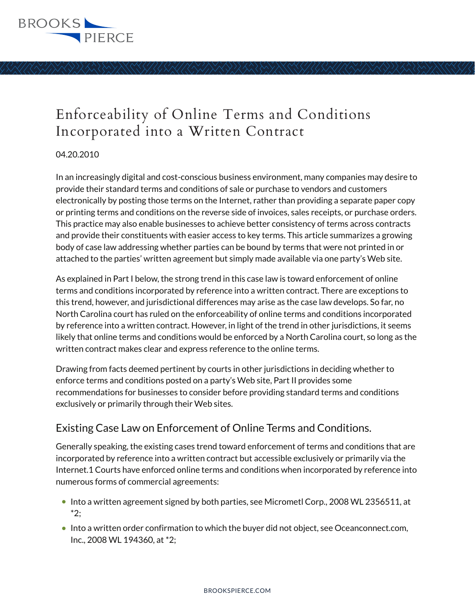

#### 04.20.2010

In an increasingly digital and cost-conscious business environment, many companies may desire to provide their standard terms and conditions of sale or purchase to vendors and customers electronically by posting those terms on the Internet, rather than providing a separate paper copy or printing terms and conditions on the reverse side of invoices, sales receipts, or purchase orders. This practice may also enable businesses to achieve better consistency of terms across contracts and provide their constituents with easier access to key terms. This article summarizes a growing body of case law addressing whether parties can be bound by terms that were not printed in or attached to the parties' written agreement but simply made available via one party's Web site.

As explained in Part I below, the strong trend in this case law is toward enforcement of online terms and conditions incorporated by reference into a written contract. There are exceptions to this trend, however, and jurisdictional differences may arise as the case law develops. So far, no North Carolina court has ruled on the enforceability of online terms and conditions incorporated by reference into a written contract. However, in light of the trend in other jurisdictions, it seems likely that online terms and conditions would be enforced by a North Carolina court, so long as the written contract makes clear and express reference to the online terms.

Drawing from facts deemed pertinent by courts in other jurisdictions in deciding whether to enforce terms and conditions posted on a party's Web site, Part II provides some recommendations for businesses to consider before providing standard terms and conditions exclusively or primarily through their Web sites.

## Existing Case Law on Enforcement of Online Terms and Conditions.

Generally speaking, the existing cases trend toward enforcement of terms and conditions that are incorporated by reference into a written contract but accessible exclusively or primarily via the Internet.1 Courts have enforced online terms and conditions when incorporated by reference into numerous forms of commercial agreements:

- Into a written agreement signed by both parties, see Micrometl Corp., 2008 WL 2356511, at \*2;
- Into a written order confirmation to which the buyer did not object, see Oceanconnect.com, Inc., 2008 WL 194360, at \*2;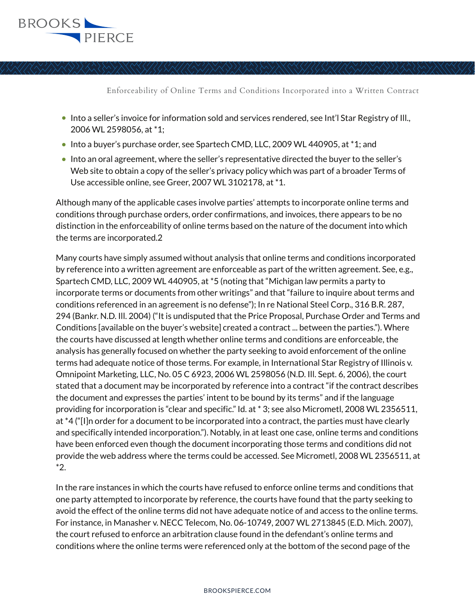

- Into a seller's invoice for information sold and services rendered, see Int'l Star Registry of Ill., 2006 WL 2598056, at \*1;
- Into a buyer's purchase order, see Spartech CMD, LLC, 2009 WL 440905, at \*1; and
- Into an oral agreement, where the seller's representative directed the buyer to the seller's Web site to obtain a copy of the seller's privacy policy which was part of a broader Terms of Use accessible online, see Greer, 2007 WL 3102178, at \*1.

Although many of the applicable cases involve parties' attempts to incorporate online terms and conditions through purchase orders, order confirmations, and invoices, there appears to be no distinction in the enforceability of online terms based on the nature of the document into which the terms are incorporated.2

Many courts have simply assumed without analysis that online terms and conditions incorporated by reference into a written agreement are enforceable as part of the written agreement. See, e.g., Spartech CMD, LLC, 2009 WL 440905, at \*5 (noting that "Michigan law permits a party to incorporate terms or documents from other writings" and that "failure to inquire about terms and conditions referenced in an agreement is no defense"); In re National Steel Corp., 316 B.R. 287, 294 (Bankr. N.D. Ill. 2004) ("It is undisputed that the Price Proposal, Purchase Order and Terms and Conditions [available on the buyer's website] created a contract ... between the parties."). Where the courts have discussed at length whether online terms and conditions are enforceable, the analysis has generally focused on whether the party seeking to avoid enforcement of the online terms had adequate notice of those terms. For example, in International Star Registry of Illinois v. Omnipoint Marketing, LLC, No. 05 C 6923, 2006 WL 2598056 (N.D. Ill. Sept. 6, 2006), the court stated that a document may be incorporated by reference into a contract "if the contract describes the document and expresses the parties' intent to be bound by its terms" and if the language providing for incorporation is "clear and specific." Id. at \* 3; see also Micrometl, 2008 WL 2356511, at \*4 ("[I]n order for a document to be incorporated into a contract, the parties must have clearly and specifically intended incorporation."). Notably, in at least one case, online terms and conditions have been enforced even though the document incorporating those terms and conditions did not provide the web address where the terms could be accessed. See Micrometl, 2008 WL 2356511, at \*2.

In the rare instances in which the courts have refused to enforce online terms and conditions that one party attempted to incorporate by reference, the courts have found that the party seeking to avoid the effect of the online terms did not have adequate notice of and access to the online terms. For instance, in Manasher v. NECC Telecom, No. 06-10749, 2007 WL 2713845 (E.D. Mich. 2007), the court refused to enforce an arbitration clause found in the defendant's online terms and conditions where the online terms were referenced only at the bottom of the second page of the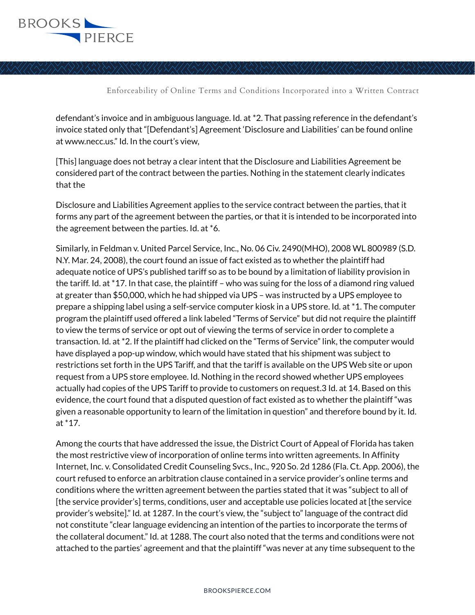

defendant's invoice and in ambiguous language. Id. at \*2. That passing reference in the defendant's invoice stated only that "[Defendant's] Agreement 'Disclosure and Liabilities' can be found online at www.necc.us." Id. In the court's view,

[This] language does not betray a clear intent that the Disclosure and Liabilities Agreement be considered part of the contract between the parties. Nothing in the statement clearly indicates that the

Disclosure and Liabilities Agreement applies to the service contract between the parties, that it forms any part of the agreement between the parties, or that it is intended to be incorporated into the agreement between the parties. Id. at \*6.

Similarly, in Feldman v. United Parcel Service, Inc., No. 06 Civ. 2490(MHO), 2008 WL 800989 (S.D. N.Y. Mar. 24, 2008), the court found an issue of fact existed as to whether the plaintiff had adequate notice of UPS's published tariff so as to be bound by a limitation of liability provision in the tariff. Id. at \*17. In that case, the plaintiff – who was suing for the loss of a diamond ring valued at greater than \$50,000, which he had shipped via UPS – was instructed by a UPS employee to prepare a shipping label using a self-service computer kiosk in a UPS store. Id. at \*1. The computer program the plaintiff used offered a link labeled "Terms of Service" but did not require the plaintiff to view the terms of service or opt out of viewing the terms of service in order to complete a transaction. Id. at \*2. If the plaintiff had clicked on the "Terms of Service" link, the computer would have displayed a pop-up window, which would have stated that his shipment was subject to restrictions set forth in the UPS Tariff, and that the tariff is available on the UPS Web site or upon request from a UPS store employee. Id. Nothing in the record showed whether UPS employees actually had copies of the UPS Tariff to provide to customers on request.3 Id. at 14. Based on this evidence, the court found that a disputed question of fact existed as to whether the plaintiff "was given a reasonable opportunity to learn of the limitation in question" and therefore bound by it. Id. at \*17.

Among the courts that have addressed the issue, the District Court of Appeal of Florida has taken the most restrictive view of incorporation of online terms into written agreements. In Affinity Internet, Inc. v. Consolidated Credit Counseling Svcs., Inc., 920 So. 2d 1286 (Fla. Ct. App. 2006), the court refused to enforce an arbitration clause contained in a service provider's online terms and conditions where the written agreement between the parties stated that it was "subject to all of [the service provider's] terms, conditions, user and acceptable use policies located at [the service provider's website]." Id. at 1287. In the court's view, the "subject to" language of the contract did not constitute "clear language evidencing an intention of the parties to incorporate the terms of the collateral document." Id. at 1288. The court also noted that the terms and conditions were not attached to the parties' agreement and that the plaintiff "was never at any time subsequent to the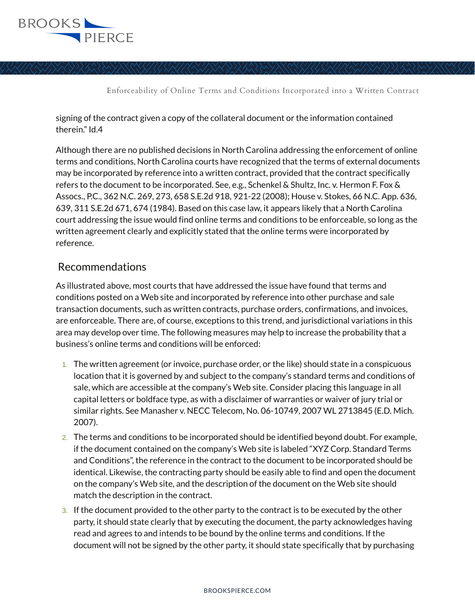

signing of the contract given a copy of the collateral document or the information contained therein." Id.4

Although there are no published decisions in North Carolina addressing the enforcement of online terms and conditions, North Carolina courts have recognized that the terms of external documents may be incorporated by reference into a written contract, provided that the contract specifically refers to the document to be incorporated. See, e.g., Schenkel & Shultz, Inc. v. Hermon F. Fox & Assocs., P.C., 362 N.C. 269, 273, 658 S.E.2d 918, 921-22 (2008); House v. Stokes, 66 N.C. App. 636, 639, 311 S.E.2d 671, 674 (1984). Based on this case law, it appears likely that a North Carolina court addressing the issue would find online terms and conditions to be enforceable, so long as the written agreement clearly and explicitly stated that the online terms were incorporated by reference.

#### Recommendations

As illustrated above, most courts that have addressed the issue have found that terms and conditions posted on a Web site and incorporated by reference into other purchase and sale transaction documents, such as written contracts, purchase orders, confirmations, and invoices, are enforceable. There are, of course, exceptions to this trend, and jurisdictional variations in this area may develop over time. The following measures may help to increase the probability that a business's online terms and conditions will be enforced:

- 1. The written agreement (or invoice, purchase order, or the like) should state in a conspicuous location that it is governed by and subject to the company's standard terms and conditions of sale, which are accessible at the company's Web site. Consider placing this language in all capital letters or boldface type, as with a disclaimer of warranties or waiver of jury trial or similar rights. See Manasher v. NECC Telecom, No. 06-10749, 2007 WL 2713845 (E.D. Mich. 2007).
- 2. The terms and conditions to be incorporated should be identified beyond doubt. For example, if the document contained on the company's Web site is labeled "XYZ Corp. Standard Terms and Conditions", the reference in the contract to the document to be incorporated should be identical. Likewise, the contracting party should be easily able to find and open the document on the company's Web site, and the description of the document on the Web site should match the description in the contract.
- 3. If the document provided to the other party to the contract is to be executed by the other party, it should state clearly that by executing the document, the party acknowledges having read and agrees to and intends to be bound by the online terms and conditions. If the document will not be signed by the other party, it should state specifically that by purchasing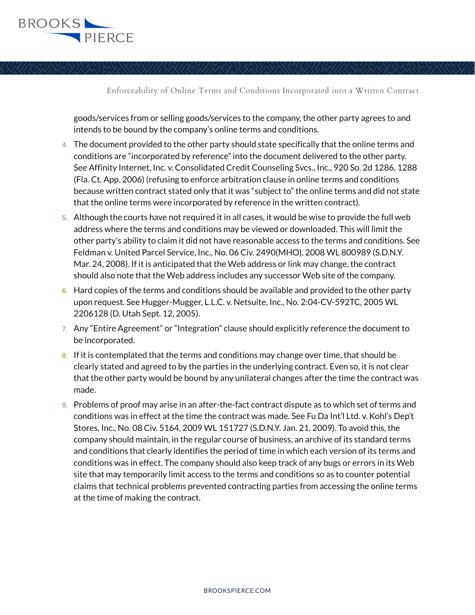

goods/services from or selling goods/services to the company, the other party agrees to and intends to be bound by the company's online terms and conditions.

- 4. The document provided to the other party should state specifically that the online terms and conditions are "incorporated by reference" into the document delivered to the other party. See Affinity Internet, Inc. v. Consolidated Credit Counseling Svcs., Inc., 920 So. 2d 1286, 1288 (Fla. Ct. App. 2006) (refusing to enforce arbitration clause in online terms and conditions because written contract stated only that it was "subject to" the online terms and did not state that the online terms were incorporated by reference in the written contract).
- 5. Although the courts have not required it in all cases, it would be wise to provide the full web address where the terms and conditions may be viewed or downloaded. This will limit the other party's ability to claim it did not have reasonable access to the terms and conditions. See Feldman v. United Parcel Service, Inc., No. 06 Civ. 2490(MHO), 2008 WL 800989 (S.D.N.Y. Mar. 24, 2008). If it is anticipated that the Web address or link may change, the contract should also note that the Web address includes any successor Web site of the company.
- $6.$  Hard copies of the terms and conditions should be available and provided to the other party upon request. See Hugger-Mugger, L.L.C. v. Netsuite, Inc., No. 2:04-CV-592TC, 2005 WL 2206128 (D. Utah Sept. 12, 2005).
- 7. Any "Entire Agreement" or "Integration" clause should explicitly reference the document to be incorporated.
- 8. If it is contemplated that the terms and conditions may change over time, that should be clearly stated and agreed to by the parties in the underlying contract. Even so, it is not clear that the other party would be bound by any unilateral changes after the time the contract was made.
- 9. Problems of proof may arise in an after-the-fact contract dispute as to which set of terms and conditions was in effect at the time the contract was made. See Fu Da Int'l Ltd. v. Kohl's Dep't Stores, Inc., No. 08 Civ. 5164, 2009 WL 151727 (S.D.N.Y. Jan. 21, 2009). To avoid this, the company should maintain, in the regular course of business, an archive of its standard terms and conditions that clearly identifies the period of time in which each version of its terms and conditions was in effect. The company should also keep track of any bugs or errors in its Web site that may temporarily limit access to the terms and conditions so as to counter potential claims that technical problems prevented contracting parties from accessing the online terms at the time of making the contract.